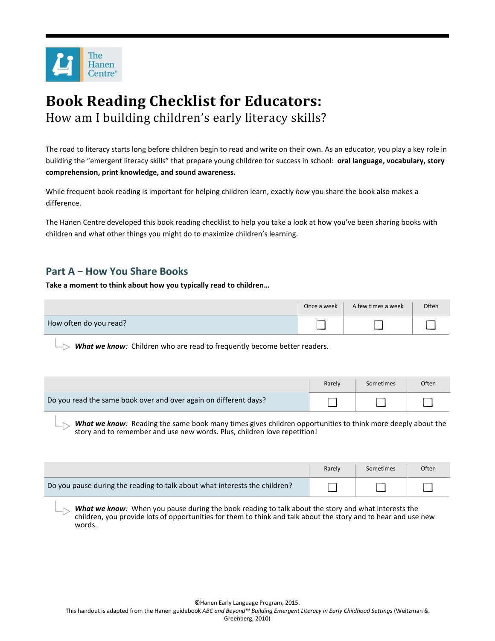

# **Book Reading Checklist for Educators:**  How am I building children's early literacy skills?

The road to literacy starts long before children begin to read and write on their own. As an educator, you play a key role in building the "emergent literacy skills" that prepare young children for success in school: **oral language, vocabulary, story comprehension, print knowledge, and sound awareness.** 

While frequent book reading is important for helping children learn, exactly *how* you share the book also makes a difference.

The Hanen Centre developed this book reading checklist to help you take a look at how you've been sharing books with children and what other things you might do to maximize children's learning.

### **Part A − How You Share Books**

**Take a moment to think about how you typically read to children…** 

|                        | Once a week | A few times a week | Often |
|------------------------|-------------|--------------------|-------|
| How often do you read? |             |                    |       |

*What we know:* Children who are read to frequently become better readers.

|                                                                  | Rarely | Sometimes | Often |
|------------------------------------------------------------------|--------|-----------|-------|
| Do you read the same book over and over again on different days? |        |           |       |

**What we know**: Reading the same book many times gives children opportunities to think more deeply about the story and to remember and use new words. Plus, children love repetition!

|                                                                            | Rarely | Sometimes | Often |
|----------------------------------------------------------------------------|--------|-----------|-------|
| Do you pause during the reading to talk about what interests the children? |        |           |       |

*What we know:* When you pause during the book reading to talk about the story and what interests the children, you provide lots of opportunities for them to think and talk about the story and to hear and use new words.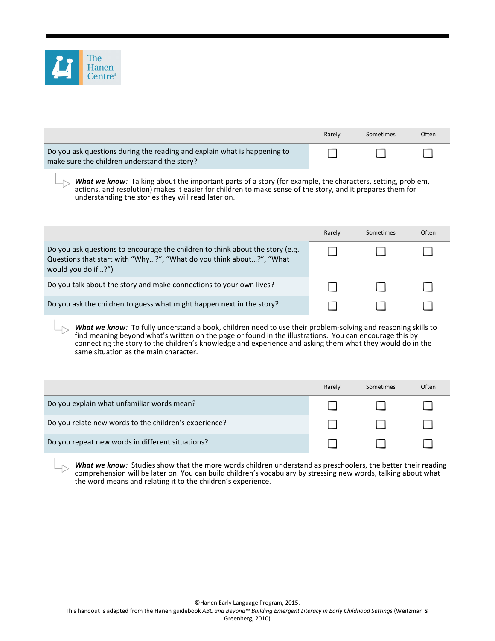

|                                                                                                                          | Rarely | Sometimes | <b>Often</b> |
|--------------------------------------------------------------------------------------------------------------------------|--------|-----------|--------------|
| Do you ask questions during the reading and explain what is happening to<br>make sure the children understand the story? |        |           |              |

*What we know:* Talking about the important parts of a story (for example, the characters, setting, problem, actions, and resolution) makes it easier for children to make sense of the story, and it prepares them for understanding the stories they will read later on.

|                                                                                                                                                                            | Rarely | Sometimes | Often |
|----------------------------------------------------------------------------------------------------------------------------------------------------------------------------|--------|-----------|-------|
| Do you ask questions to encourage the children to think about the story (e.g.<br>Questions that start with "Why?", "What do you think about?", "What<br>would you do if?") |        |           |       |
| Do you talk about the story and make connections to your own lives?                                                                                                        |        |           |       |
| Do you ask the children to guess what might happen next in the story?                                                                                                      |        |           |       |

*What we know:* To fully understand a book, children need to use their problem-solving and reasoning skills to find meaning beyond what's written on the page or found in the illustrations. You can encourage this by connecting the story to the children's knowledge and experience and asking them what they would do in the same situation as the main character.

|                                                       | Rarely | Sometimes | <b>Often</b> |
|-------------------------------------------------------|--------|-----------|--------------|
| Do you explain what unfamiliar words mean?            |        |           |              |
| Do you relate new words to the children's experience? |        |           |              |
| Do you repeat new words in different situations?      |        |           |              |

*What we know:* Studies show that the more words children understand as preschoolers, the better their reading comprehension will be later on. You can build children's vocabulary by stressing new words, talking about what the word means and relating it to the children's experience.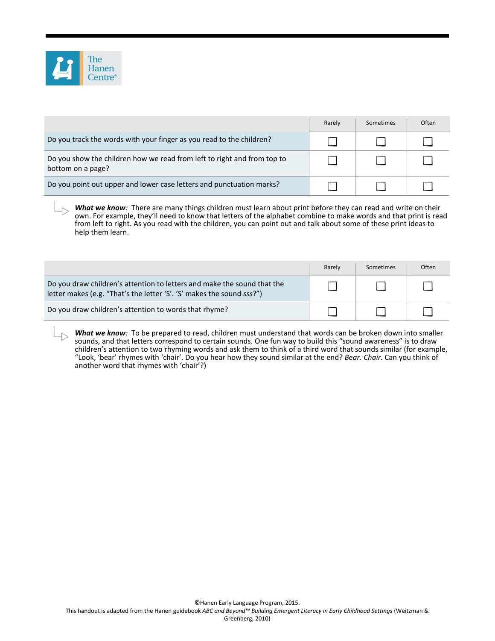

|                                                                                              | Rarely | Sometimes | Often |
|----------------------------------------------------------------------------------------------|--------|-----------|-------|
| Do you track the words with your finger as you read to the children?                         |        |           |       |
| Do you show the children how we read from left to right and from top to<br>bottom on a page? |        |           |       |
| Do you point out upper and lower case letters and punctuation marks?                         |        |           |       |

**What we know**: There are many things children must learn about print before they can read and write on their own. For example, they'll need to know that letters of the alphabet combine to make words and that print is read from left to right. As you read with the children, you can point out and talk about some of these print ideas to help them learn.

|                                                                                                                                                  | Rarely | Sometimes | Often |
|--------------------------------------------------------------------------------------------------------------------------------------------------|--------|-----------|-------|
| Do you draw children's attention to letters and make the sound that the<br>letter makes (e.g. "That's the letter 'S'. 'S' makes the sound sss?") |        |           |       |
| Do you draw children's attention to words that rhyme?                                                                                            |        |           |       |

*What we know:* To be prepared to read, children must understand that words can be broken down into smaller  $\rightarrow$ sounds, and that letters correspond to certain sounds. One fun way to build this "sound awareness" is to draw children's attention to two rhyming words and ask them to think of a third word that sounds similar (for example, "Look, 'bear' rhymes with 'chair'. Do you hear how they sound similar at the end? *Bear. Chair.* Can you think of another word that rhymes with 'chair'?)